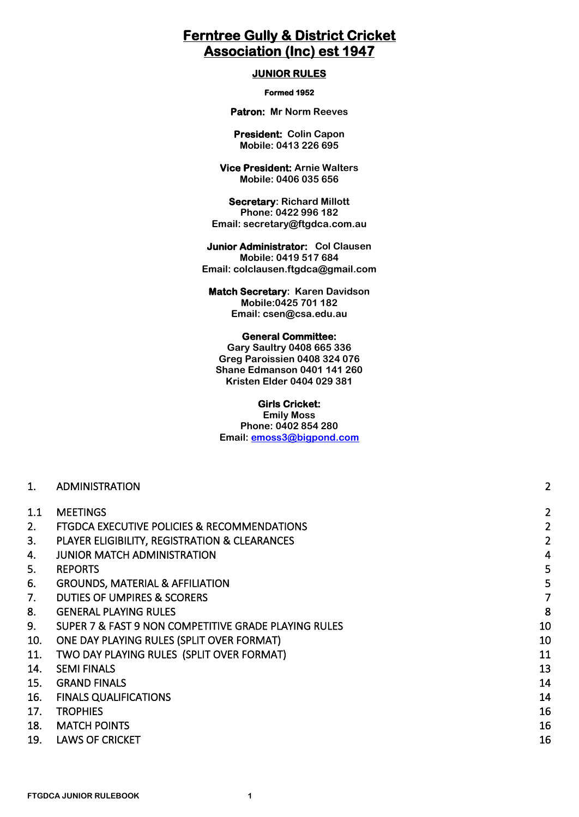# **Ferntree Gully & District Cricket Association (Inc) est 1947**

#### **JUNIOR RULES**

#### **Formed 1952**

**Patron: Mr Norm Reeves** 

**President: Colin Capon Mobile: 0413 226 695**

**Vice President: Arnie Walters Mobile: 0406 035 656**

**Secretary: Richard Millott Phone: 0422 996 182 Email: secretary@ftgdca.com.au**

#### **Junior Administrator: Col Clausen Mobile: 0419 517 684 Email: colclausen.ftgdca@gmail.com**

**Match Secretary: Karen Davidson Mobile:0425 701 182 Email: csen@csa.edu.au** 

#### **General Committee:**

**Gary Saultry 0408 665 336 Greg Paroissien 0408 324 076 Shane Edmanson 0401 141 260 Kristen Elder 0404 029 381**

#### **Girls Cricket:**

**Emily Moss Phone: 0402 854 280 Email: [emoss3@bigpond.com](mailto:emoss3@bigpond.com)**

| . . | <b>ADMINISTRATION</b> |  |
|-----|-----------------------|--|

| 1.1 | <b>MEETINGS</b> |  |
|-----|-----------------|--|
|     |                 |  |

| <b>FTGDCA EXECUTIVE POLICIES &amp; RECOMMENDATIONS</b> |  |
|--------------------------------------------------------|--|
|--------------------------------------------------------|--|

- 3. [PLAYER ELIGIBILITY, REGISTRATION & CLEARANCES 2](#page-1-3)
- [4. JUNIOR MATCH ADMINISTRATION 4](#page-3-0)
- 5. [REPORTS 5](#page-4-0)
- [6. GROUNDS, MATERIAL & AFFILIATION 5](#page-4-1)
- [7. DUTIES OF UMPIRES & SCORERS 7](#page-6-0)
- 8. [GENERAL PLAYING RULES 8](#page-7-0)
- 9. SUPER 7 & FAST 9 NON COMPETITIVE GRADE PLAYING RULES And the state of the state of the state of the state o
- 10. [ONE DAY PLAYING RULES \(SPLIT OVER FORMAT\) 10](#page-9-1)
- 11. [TWO DAY PLAYING RULES \(SPLIT OVER FORMAT\) 11](#page-10-0) and 20 years of the contract of the contract of the contract of the contract of the contract of the contract of the contract of the contract of the contract of the contract
- 14. [SEMI FINALS 13](#page-12-0)
- 15. GRAND FINALS 214
- 16. [FINALS QUALIFICATIONS 14](#page-13-1)
- 17. TROPHIES 2018 2019 12:00 12:00 13:00 14:00 15:00 16:00 16:00 16:00 16:00 16:00 16:00 16:00 16:00 16:00 16:00 16:00 16:00 16:00 16:00 16:00 16:00 16:00 16:00 16:00 16:00 16:00 16:00 16:00 16:00 16:00 16:00 16:00 16:00 1
- 18. [MATCH POINTS 16](#page-15-1)
- 19. [LAWS OF CRICKET 16](#page-15-2) and 20 and 20 and 20 and 20 and 20 and 20 and 20 and 20 and 20 and 20 and 20 and 20 and 20 and 20 and 20 and 20 and 20 and 20 and 20 and 20 and 20 and 20 and 20 and 20 and 20 and 20 and 20 and 20 and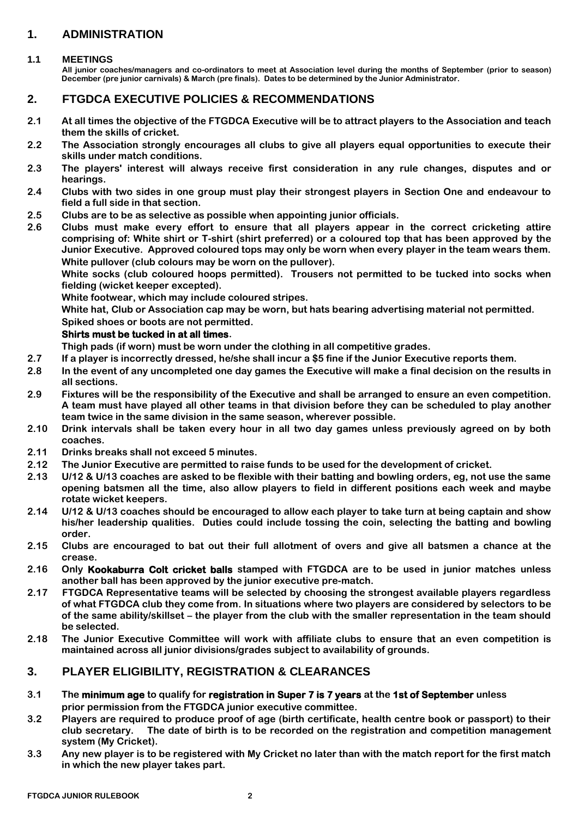# <span id="page-1-0"></span>**1. ADMINISTRATION**

#### <span id="page-1-1"></span>**1.1 MEETINGS**

**All junior coaches/managers and co-ordinators to meet at Association level during the months of September (prior to season) December (pre junior carnivals) & March (pre finals). Dates to be determined by the Junior Administrator.**

### <span id="page-1-2"></span>**2. FTGDCA EXECUTIVE POLICIES & RECOMMENDATIONS**

- **2.1 At all times the objective of the FTGDCA Executive will be to attract players to the Association and teach them the skills of cricket.**
- **2.2 The Association strongly encourages all clubs to give all players equal opportunities to execute their skills under match conditions.**
- **2.3 The players' interest will always receive first consideration in any rule changes, disputes and or hearings.**
- **2.4 Clubs with two sides in one group must play their strongest players in Section One and endeavour to field a full side in that section.**
- **2.5 Clubs are to be as selective as possible when appointing junior officials.**
- **2.6 Clubs must make every effort to ensure that all players appear in the correct cricketing attire comprising of: White shirt or T-shirt (shirt preferred) or a coloured top that has been approved by the Junior Executive. Approved coloured tops may only be worn when every player in the team wears them. White pullover (club colours may be worn on the pullover).**

**White socks (club coloured hoops permitted). Trousers not permitted to be tucked into socks when fielding (wicket keeper excepted).**

**White footwear, which may include coloured stripes.**

**White hat, Club or Association cap may be worn, but hats bearing advertising material not permitted. Spiked shoes or boots are not permitted.**

#### **Shirts must be tucked in at all times.**

**Thigh pads (if worn) must be worn under the clothing in all competitive grades.**

- **2.7 If a player is incorrectly dressed, he/she shall incur a \$5 fine if the Junior Executive reports them.**
- **2.8 In the event of any uncompleted one day games the Executive will make a final decision on the results in all sections.**
- **2.9 Fixtures will be the responsibility of the Executive and shall be arranged to ensure an even competition. A team must have played all other teams in that division before they can be scheduled to play another team twice in the same division in the same season, wherever possible.**
- **2.10 Drink intervals shall be taken every hour in all two day games unless previously agreed on by both coaches.**
- **2.11 Drinks breaks shall not exceed 5 minutes.**
- **2.12 The Junior Executive are permitted to raise funds to be used for the development of cricket.**
- **2.13 U/12 & U/13 coaches are asked to be flexible with their batting and bowling orders, eg, not use the same opening batsmen all the time, also allow players to field in different positions each week and maybe rotate wicket keepers.**
- **2.14 U/12 & U/13 coaches should be encouraged to allow each player to take turn at being captain and show his/her leadership qualities. Duties could include tossing the coin, selecting the batting and bowling order.**
- **2.15 Clubs are encouraged to bat out their full allotment of overs and give all batsmen a chance at the crease.**
- **2.16 Only Kookaburra Colt cricket balls stamped with FTGDCA are to be used in junior matches unless another ball has been approved by the junior executive pre-match.**
- **2.17 FTGDCA Representative teams will be selected by choosing the strongest available players regardless of what FTGDCA club they come from. In situations where two players are considered by selectors to be of the same ability/skillset – the player from the club with the smaller representation in the team should be selected.**
- **2.18 The Junior Executive Committee will work with affiliate clubs to ensure that an even competition is maintained across all junior divisions/grades subject to availability of grounds.**

## <span id="page-1-3"></span>**3. PLAYER ELIGIBILITY, REGISTRATION & CLEARANCES**

- **3.1 The minimum age to qualify for registration in Super 7 is 7 years at the 1st of September unless prior permission from the FTGDCA junior executive committee.**
- **3.2 Players are required to produce proof of age (birth certificate, health centre book or passport) to their club secretary. The date of birth is to be recorded on the registration and competition management system (My Cricket).**
- **3.3 Any new player is to be registered with My Cricket no later than with the match report for the first match in which the new player takes part.**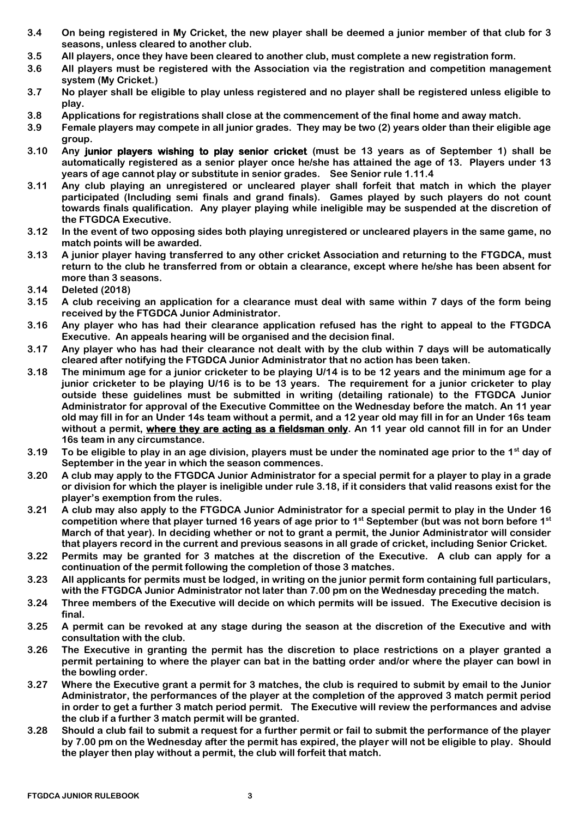- **3.4 On being registered in My Cricket, the new player shall be deemed a junior member of that club for 3 seasons, unless cleared to another club.**
- **3.5 All players, once they have been cleared to another club, must complete a new registration form.**
- **3.6 All players must be registered with the Association via the registration and competition management system (My Cricket.)**
- **3.7 No player shall be eligible to play unless registered and no player shall be registered unless eligible to play.**
- **3.8 Applications for registrations shall close at the commencement of the final home and away match.**
- **3.9 Female players may compete in all junior grades. They may be two (2) years older than their eligible age group.**
- **3.10 Any junior players wishing to play senior cricket (must be 13 years as of September 1) shall be automatically registered as a senior player once he/she has attained the age of 13. Players under 13 years of age cannot play or substitute in senior grades. See Senior rule 1.11.4**
- **3.11 Any club playing an unregistered or uncleared player shall forfeit that match in which the player participated (Including semi finals and grand finals). Games played by such players do not count towards finals qualification. Any player playing while ineligible may be suspended at the discretion of the FTGDCA Executive.**
- **3.12 In the event of two opposing sides both playing unregistered or uncleared players in the same game, no match points will be awarded.**
- **3.13 A junior player having transferred to any other cricket Association and returning to the FTGDCA, must return to the club he transferred from or obtain a clearance, except where he/she has been absent for more than 3 seasons.**
- **3.14 Deleted (2018)**
- **3.15 A club receiving an application for a clearance must deal with same within 7 days of the form being received by the FTGDCA Junior Administrator.**
- **3.16 Any player who has had their clearance application refused has the right to appeal to the FTGDCA Executive. An appeals hearing will be organised and the decision final.**
- **3.17 Any player who has had their clearance not dealt with by the club within 7 days will be automatically cleared after notifying the FTGDCA Junior Administrator that no action has been taken.**
- **3.18 The minimum age for a junior cricketer to be playing U/14 is to be 12 years and the minimum age for a junior cricketer to be playing U/16 is to be 13 years. The requirement for a junior cricketer to play outside these guidelines must be submitted in writing (detailing rationale) to the FTGDCA Junior Administrator for approval of the Executive Committee on the Wednesday before the match. An 11 year old may fill in for an Under 14s team without a permit, and a 12 year old may fill in for an Under 16s team without a permit, where they are acting as a fieldsman only. An 11 year old cannot fill in for an Under 16s team in any circumstance.**
- **3.19 To be eligible to play in an age division, players must be under the nominated age prior to the 1st day of September in the year in which the season commences.**
- **3.20 A club may apply to the FTGDCA Junior Administrator for a special permit for a player to play in a grade or division for which the player is ineligible under rule 3.18, if it considers that valid reasons exist for the player's exemption from the rules.**
- **3.21 A club may also apply to the FTGDCA Junior Administrator for a special permit to play in the Under 16 competition where that player turned 16 years of age prior to 1st September (but was not born before 1st March of that year). In deciding whether or not to grant a permit, the Junior Administrator will consider that players record in the current and previous seasons in all grade of cricket, including Senior Cricket.**
- **3.22 Permits may be granted for 3 matches at the discretion of the Executive. A club can apply for a continuation of the permit following the completion of those 3 matches.**
- **3.23 All applicants for permits must be lodged, in writing on the junior permit form containing full particulars, with the FTGDCA Junior Administrator not later than 7.00 pm on the Wednesday preceding the match.**
- **3.24 Three members of the Executive will decide on which permits will be issued. The Executive decision is final.**
- **3.25 A permit can be revoked at any stage during the season at the discretion of the Executive and with consultation with the club.**
- **3.26 The Executive in granting the permit has the discretion to place restrictions on a player granted a permit pertaining to where the player can bat in the batting order and/or where the player can bowl in the bowling order.**
- **3.27 Where the Executive grant a permit for 3 matches, the club is required to submit by email to the Junior Administrator, the performances of the player at the completion of the approved 3 match permit period in order to get a further 3 match period permit. The Executive will review the performances and advise the club if a further 3 match permit will be granted.**
- **3.28 Should a club fail to submit a request for a further permit or fail to submit the performance of the player by 7.00 pm on the Wednesday after the permit has expired, the player will not be eligible to play. Should the player then play without a permit, the club will forfeit that match.**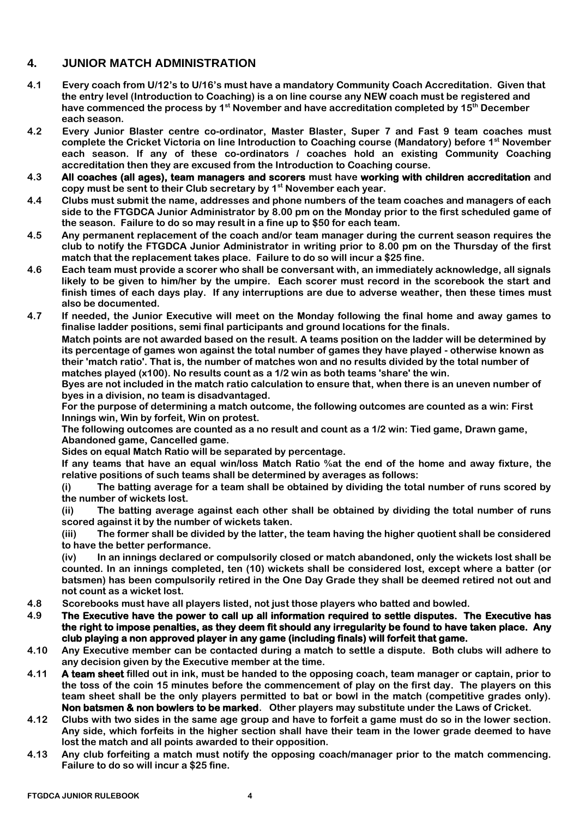# <span id="page-3-0"></span>**4. JUNIOR MATCH ADMINISTRATION**

- **4.1 Every coach from U/12's to U/16's must have a mandatory Community Coach Accreditation. Given that the entry level (Introduction to Coaching) is a on line course any NEW coach must be registered and have commenced the process by 1st November and have accreditation completed by 15th December each season.**
- **4.2 Every Junior Blaster centre co-ordinator, Master Blaster, Super 7 and Fast 9 team coaches must complete the Cricket Victoria on line Introduction to Coaching course (Mandatory) before 1st November each season. If any of these co-ordinators / coaches hold an existing Community Coaching accreditation then they are excused from the Introduction to Coaching course.**
- **4.3 All coaches (all ages), team managers and scorers must have working with children accreditation and copy must be sent to their Club secretary by 1st November each year.**
- **4.4 Clubs must submit the name, addresses and phone numbers of the team coaches and managers of each side to the FTGDCA Junior Administrator by 8.00 pm on the Monday prior to the first scheduled game of the season. Failure to do so may result in a fine up to \$50 for each team.**
- **4.5 Any permanent replacement of the coach and/or team manager during the current season requires the club to notify the FTGDCA Junior Administrator in writing prior to 8.00 pm on the Thursday of the first match that the replacement takes place. Failure to do so will incur a \$25 fine.**
- **4.6 Each team must provide a scorer who shall be conversant with, an immediately acknowledge, all signals likely to be given to him/her by the umpire. Each scorer must record in the scorebook the start and finish times of each days play. If any interruptions are due to adverse weather, then these times must also be documented.**
- **4.7 If needed, the Junior Executive will meet on the Monday following the final home and away games to finalise ladder positions, semi final participants and ground locations for the finals.**

**Match points are not awarded based on the result. A teams position on the ladder will be determined by its percentage of games won against the total number of games they have played - otherwise known as their 'match ratio'. That is, the number of matches won and no results divided by the total number of matches played (x100). No results count as a 1/2 win as both teams 'share' the win.**

**Byes are not included in the match ratio calculation to ensure that, when there is an uneven number of byes in a division, no team is disadvantaged.**

**For the purpose of determining a match outcome, the following outcomes are counted as a win: First Innings win, Win by forfeit, Win on protest.**

**The following outcomes are counted as a no result and count as a 1/2 win: Tied game, Drawn game, Abandoned game, Cancelled game.**

**Sides on equal Match Ratio will be separated by percentage.**

**If any teams that have an equal win/loss Match Ratio %at the end of the home and away fixture, the relative positions of such teams shall be determined by averages as follows:**

**(i) The batting average for a team shall be obtained by dividing the total number of runs scored by the number of wickets lost.**

**(ii) The batting average against each other shall be obtained by dividing the total number of runs scored against it by the number of wickets taken.**

**(iii) The former shall be divided by the latter, the team having the higher quotient shall be considered to have the better performance.**

**(iv) In an innings declared or compulsorily closed or match abandoned, only the wickets lost shall be counted. In an innings completed, ten (10) wickets shall be considered lost, except where a batter (or batsmen) has been compulsorily retired in the One Day Grade they shall be deemed retired not out and not count as a wicket lost.**

- **4.8 Scorebooks must have all players listed, not just those players who batted and bowled.**
- **4.9 The Executive have the power to call up all information required to settle disputes. The Executive has the right to impose penalties, as they deem fit should any irregularity be found to have taken place. Any club playing a non approved player in any game (including finals) will forfeit that game.**
- **4.10 Any Executive member can be contacted during a match to settle a dispute. Both clubs will adhere to any decision given by the Executive member at the time.**
- **4.11 A team sheet filled out in ink, must be handed to the opposing coach, team manager or captain, prior to the toss of the coin 15 minutes before the commencement of play on the first day. The players on this team sheet shall be the only players permitted to bat or bowl in the match (competitive grades only). Non batsmen & non bowlers to be marked. Other players may substitute under the Laws of Cricket.**
- **4.12 Clubs with two sides in the same age group and have to forfeit a game must do so in the lower section. Any side, which forfeits in the higher section shall have their team in the lower grade deemed to have lost the match and all points awarded to their opposition.**
- **4.13 Any club forfeiting a match must notify the opposing coach/manager prior to the match commencing. Failure to do so will incur a \$25 fine.**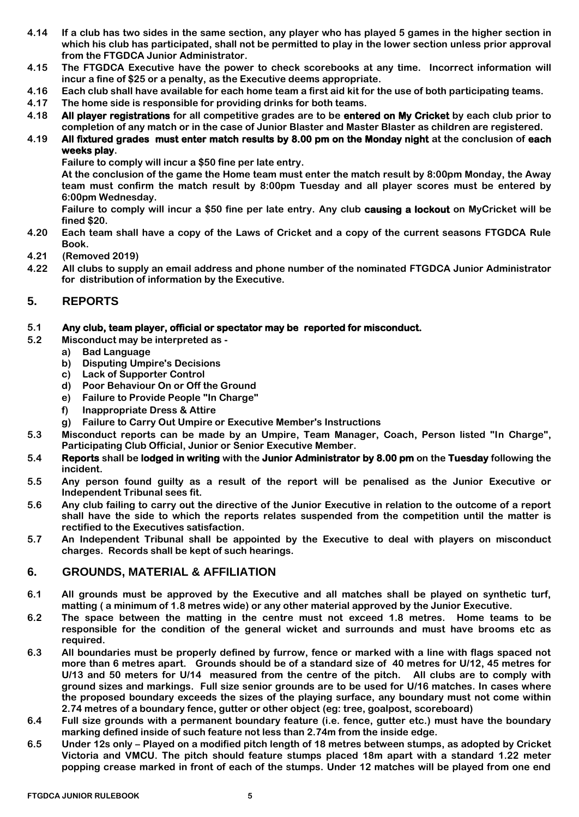- **4.14 If a club has two sides in the same section, any player who has played 5 games in the higher section in which his club has participated, shall not be permitted to play in the lower section unless prior approval from the FTGDCA Junior Administrator.**
- **4.15 The FTGDCA Executive have the power to check scorebooks at any time. Incorrect information will incur a fine of \$25 or a penalty, as the Executive deems appropriate.**
- **4.16 Each club shall have available for each home team a first aid kit for the use of both participating teams.**
- **4.17 The home side is responsible for providing drinks for both teams.**
- **4.18 All player registrations for all competitive grades are to be entered on My Cricket by each club prior to completion of any match or in the case of Junior Blaster and Master Blaster as children are registered.**
- **4.19 All fixtured grades must enter match results by 8.00 pm on the Monday night at the conclusion of each weeks play.** 
	- **Failure to comply will incur a \$50 fine per late entry.**

**At the conclusion of the game the Home team must enter the match result by 8:00pm Monday, the Away team must confirm the match result by 8:00pm Tuesday and all player scores must be entered by 6:00pm Wednesday.** 

**Failure to comply will incur a \$50 fine per late entry. Any club causing a lockout on MyCricket will be fined \$20.**

- **4.20 Each team shall have a copy of the Laws of Cricket and a copy of the current seasons FTGDCA Rule Book.**
- **4.21 (Removed 2019)**
- **4.22 All clubs to supply an email address and phone number of the nominated FTGDCA Junior Administrator for distribution of information by the Executive.**

# <span id="page-4-0"></span>**5. REPORTS**

### **5.1 Any club, team player, official or spectator may be reported for misconduct.**

- **5.2 Misconduct may be interpreted as** 
	- **a) Bad Language**
	- **b) Disputing Umpire's Decisions**
	- **c) Lack of Supporter Control**
	- **d) Poor Behaviour On or Off the Ground**
	- **e) Failure to Provide People "In Charge"**
	- **f) Inappropriate Dress & Attire**
	- **g) Failure to Carry Out Umpire or Executive Member's Instructions**
- **5.3 Misconduct reports can be made by an Umpire, Team Manager, Coach, Person listed "In Charge", Participating Club Official, Junior or Senior Executive Member.**
- **5.4 Reports shall be lodged in writing with the Junior Administrator by 8.00 pm on the Tuesday following the incident.**
- **5.5 Any person found guilty as a result of the report will be penalised as the Junior Executive or Independent Tribunal sees fit.**
- **5.6 Any club failing to carry out the directive of the Junior Executive in relation to the outcome of a report shall have the side to which the reports relates suspended from the competition until the matter is rectified to the Executives satisfaction.**
- **5.7 An Independent Tribunal shall be appointed by the Executive to deal with players on misconduct charges. Records shall be kept of such hearings.**

## <span id="page-4-1"></span>**6. GROUNDS, MATERIAL & AFFILIATION**

- **6.1 All grounds must be approved by the Executive and all matches shall be played on synthetic turf, matting ( a minimum of 1.8 metres wide) or any other material approved by the Junior Executive.**
- **6.2 The space between the matting in the centre must not exceed 1.8 metres. Home teams to be responsible for the condition of the general wicket and surrounds and must have brooms etc as required.**
- **6.3 All boundaries must be properly defined by furrow, fence or marked with a line with flags spaced not more than 6 metres apart. Grounds should be of a standard size of 40 metres for U/12, 45 metres for U/13 and 50 meters for U/14 measured from the centre of the pitch. All clubs are to comply with ground sizes and markings. Full size senior grounds are to be used for U/16 matches. In cases where the proposed boundary exceeds the sizes of the playing surface, any boundary must not come within 2.74 metres of a boundary fence, gutter or other object (eg: tree, goalpost, scoreboard)**
- **6.4 Full size grounds with a permanent boundary feature (i.e. fence, gutter etc.) must have the boundary marking defined inside of such feature not less than 2.74m from the inside edge.**
- **6.5 Under 12s only – Played on a modified pitch length of 18 metres between stumps, as adopted by Cricket Victoria and VMCU. The pitch should feature stumps placed 18m apart with a standard 1.22 meter popping crease marked in front of each of the stumps. Under 12 matches will be played from one end**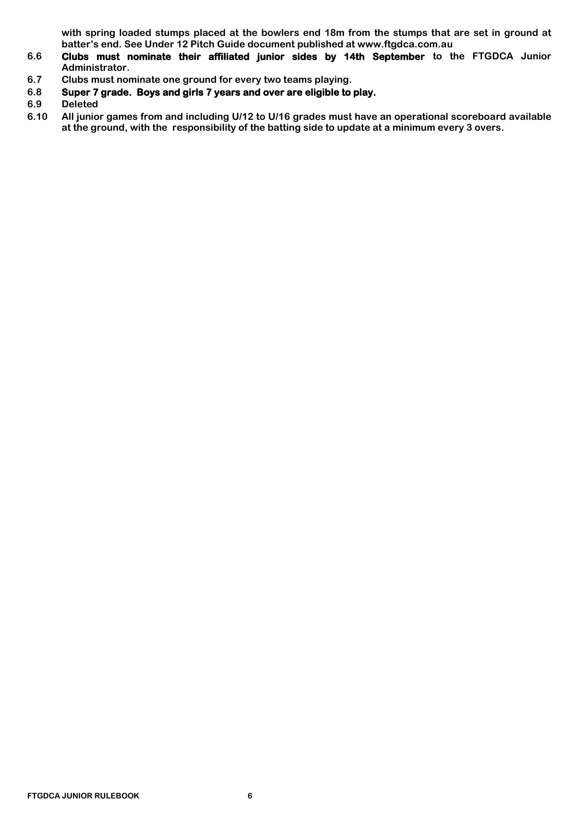**with spring loaded stumps placed at the bowlers end 18m from the stumps that are set in ground at batter's end. See Under 12 Pitch Guide document published at www.ftgdca.com.au**

- **6.6 Clubs must nominate their affiliated junior sides by 14th September to the FTGDCA Junior Administrator.**
- **6.7 Clubs must nominate one ground for every two teams playing.**
- **6.8 Super 7 grade. Boys and girls 7 years and over are eligible to play.**
- **6.9 Deleted**
- **6.10 All junior games from and including U/12 to U/16 grades must have an operational scoreboard available at the ground, with the responsibility of the batting side to update at a minimum every 3 overs.**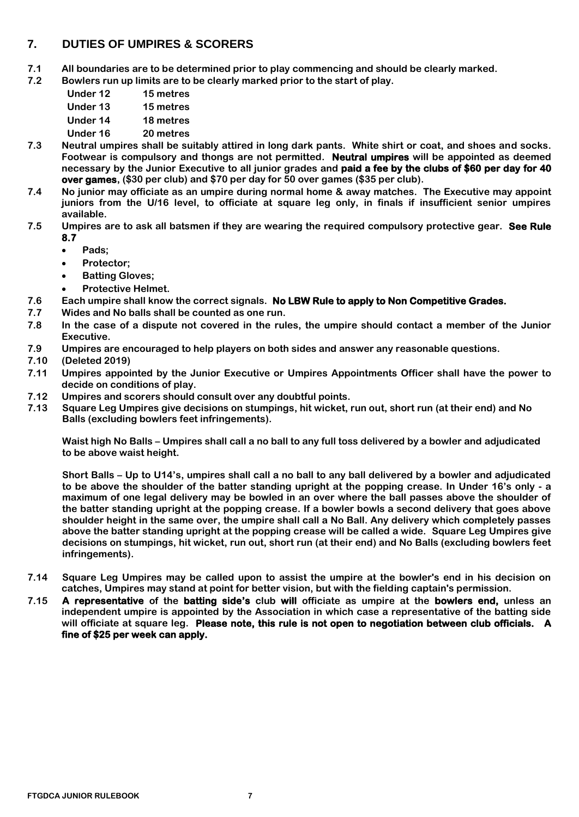# <span id="page-6-0"></span>**7. DUTIES OF UMPIRES & SCORERS**

- **7.1 All boundaries are to be determined prior to play commencing and should be clearly marked.**
- **7.2 Bowlers run up limits are to be clearly marked prior to the start of play.**
	- **Under 12 15 metres**
	- **Under 13 15 metres**
	- **Under 14 18 metres**
	- **Under 16 20 metres**
- **7.3 Neutral umpires shall be suitably attired in long dark pants. White shirt or coat, and shoes and socks. Footwear is compulsory and thongs are not permitted. Neutral umpires will be appointed as deemed necessary by the Junior Executive to all junior grades and paid a fee by the clubs of \$60 per day for 40 over games, (\$30 per club) and \$70 per day for 50 over games (\$35 per club).**
- **7.4 No junior may officiate as an umpire during normal home & away matches. The Executive may appoint juniors from the U/16 level, to officiate at square leg only, in finals if insufficient senior umpires available.**
- **7.5 Umpires are to ask all batsmen if they are wearing the required compulsory protective gear. See Rule 8.7**
	- **Pads;**
	- **Protector;**
	- **Batting Gloves;**
	- **Protective Helmet.**
- **7.6 Each umpire shall know the correct signals. No LBW Rule to apply to Non Competitive Grades.**
- **7.7 Wides and No balls shall be counted as one run.**
- **7.8 In the case of a dispute not covered in the rules, the umpire should contact a member of the Junior Executive.**
- **7.9 Umpires are encouraged to help players on both sides and answer any reasonable questions.**
- **7.10 (Deleted 2019)**
- **7.11 Umpires appointed by the Junior Executive or Umpires Appointments Officer shall have the power to decide on conditions of play.**
- **7.12 Umpires and scorers should consult over any doubtful points.**
- **7.13 Square Leg Umpires give decisions on stumpings, hit wicket, run out, short run (at their end) and No Balls (excluding bowlers feet infringements).**

**Waist high No Balls – Umpires shall call a no ball to any full toss delivered by a bowler and adjudicated to be above waist height.**

**Short Balls – Up to U14's, umpires shall call a no ball to any ball delivered by a bowler and adjudicated to be above the shoulder of the batter standing upright at the popping crease. In Under 16's only - a maximum of one legal delivery may be bowled in an over where the ball passes above the shoulder of the batter standing upright at the popping crease. If a bowler bowls a second delivery that goes above shoulder height in the same over, the umpire shall call a No Ball. Any delivery which completely passes above the batter standing upright at the popping crease will be called a wide. Square Leg Umpires give decisions on stumpings, hit wicket, run out, short run (at their end) and No Balls (excluding bowlers feet infringements).**

- **7.14 Square Leg Umpires may be called upon to assist the umpire at the bowler's end in his decision on catches, Umpires may stand at point for better vision, but with the fielding captain's permission.**
- **7.15 A representative of the batting side's club will officiate as umpire at the bowlers end, unless an independent umpire is appointed by the Association in which case a representative of the batting side will officiate at square leg. Please note, this rule is not open to negotiation between club officials. A fine of \$25 per week can apply.**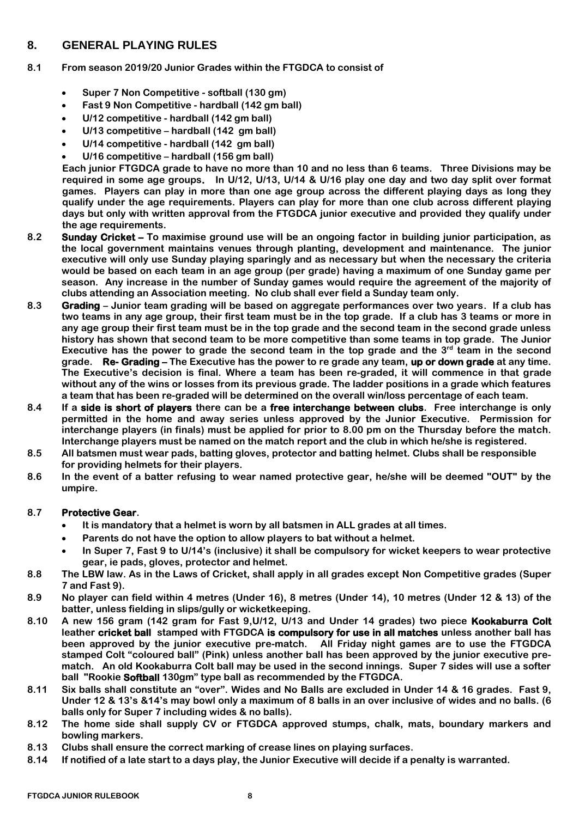# <span id="page-7-0"></span>**8. GENERAL PLAYING RULES**

#### **8.1 From season 2019/20 Junior Grades within the FTGDCA to consist of**

- **Super 7 Non Competitive - softball (130 gm)**
- **Fast 9 Non Competitive - hardball (142 gm ball)**
- **U/12 competitive - hardball (142 gm ball)**
- **U/13 competitive – hardball (142 gm ball)**
- **U/14 competitive - hardball (142 gm ball)**
- **U/16 competitive – hardball (156 gm ball)**

**Each junior FTGDCA grade to have no more than 10 and no less than 6 teams. Three Divisions may be required in some age groups. In U/12, U/13, U/14 & U/16 play one day and two day split over format games. Players can play in more than one age group across the different playing days as long they qualify under the age requirements. Players can play for more than one club across different playing days but only with written approval from the FTGDCA junior executive and provided they qualify under the age requirements.** 

- **8.2 Sunday Cricket – To maximise ground use will be an ongoing factor in building junior participation, as the local government maintains venues through planting, development and maintenance. The junior executive will only use Sunday playing sparingly and as necessary but when the necessary the criteria would be based on each team in an age group (per grade) having a maximum of one Sunday game per season. Any increase in the number of Sunday games would require the agreement of the majority of clubs attending an Association meeting. No club shall ever field a Sunday team only.**
- **8.3 Grading – Junior team grading will be based on aggregate performances over two years. If a club has two teams in any age group, their first team must be in the top grade. If a club has 3 teams or more in any age group their first team must be in the top grade and the second team in the second grade unless history has shown that second team to be more competitive than some teams in top grade. The Junior Executive has the power to grade the second team in the top grade and the 3rd team in the second grade. Re- Grading – The Executive has the power to re grade any team, up or down grade at any time. The Executive's decision is final. Where a team has been re-graded, it will commence in that grade without any of the wins or losses from its previous grade. The ladder positions in a grade which features a team that has been re-graded will be determined on the overall win/loss percentage of each team.**
- **8.4 If a side is short of players there can be a free interchange between clubs. Free interchange is only permitted in the home and away series unless approved by the Junior Executive. Permission for interchange players (in finals) must be applied for prior to 8.00 pm on the Thursday before the match. Interchange players must be named on the match report and the club in which he/she is registered.**
- **8.5 All batsmen must wear pads, batting gloves, protector and batting helmet. Clubs shall be responsible for providing helmets for their players.**
- **8.6 In the event of a batter refusing to wear named protective gear, he/she will be deemed "OUT" by the umpire.**

#### **8.7 Protective Gear.**

- **It is mandatory that a helmet is worn by all batsmen in ALL grades at all times.**
- **Parents do not have the option to allow players to bat without a helmet.**
- **In Super 7, Fast 9 to U/14's (inclusive) it shall be compulsory for wicket keepers to wear protective gear, ie pads, gloves, protector and helmet.**
- **8.8 The LBW law. As in the Laws of Cricket, shall apply in all grades except Non Competitive grades (Super 7 and Fast 9).**
- **8.9 No player can field within 4 metres (Under 16), 8 metres (Under 14), 10 metres (Under 12 & 13) of the batter, unless fielding in slips/gully or wicketkeeping.**
- **8.10 A new 156 gram (142 gram for Fast 9,U/12, U/13 and Under 14 grades) two piece Kookaburra Colt leather cricket ball stamped with FTGDCA is compulsory for use in all matches unless another ball has been approved by the junior executive pre-match. All Friday night games are to use the FTGDCA stamped Colt "coloured ball" (Pink) unless another ball has been approved by the junior executive prematch. An old Kookaburra Colt ball may be used in the second innings. Super 7 sides will use a softer ball "Rookie Softball 130gm" type ball as recommended by the FTGDCA.**
- **8.11 Six balls shall constitute an "over". Wides and No Balls are excluded in Under 14 & 16 grades. Fast 9, Under 12 & 13's &14's may bowl only a maximum of 8 balls in an over inclusive of wides and no balls. (6 balls only for Super 7 including wides & no balls).**
- **8.12 The home side shall supply CV or FTGDCA approved stumps, chalk, mats, boundary markers and bowling markers.**
- **8.13 Clubs shall ensure the correct marking of crease lines on playing surfaces.**
- **8.14 If notified of a late start to a days play, the Junior Executive will decide if a penalty is warranted.**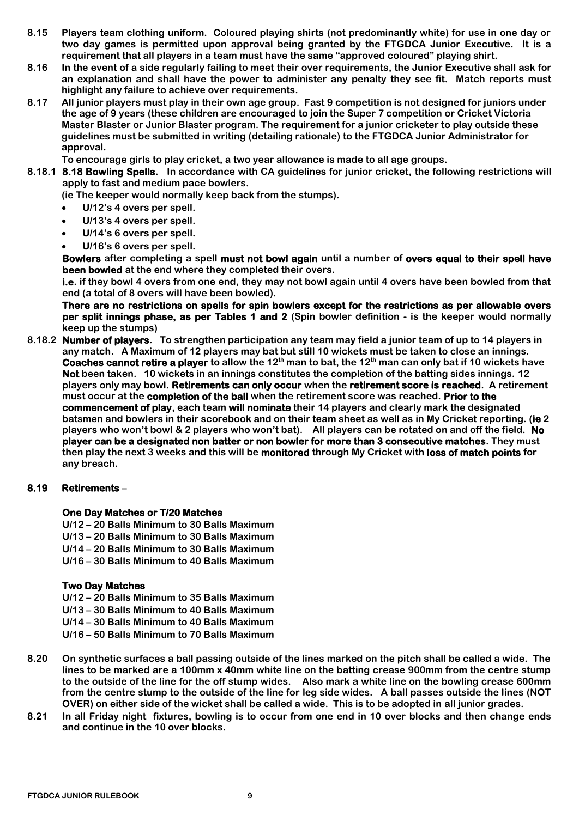- **8.15 Players team clothing uniform. Coloured playing shirts (not predominantly white) for use in one day or two day games is permitted upon approval being granted by the FTGDCA Junior Executive. It is a requirement that all players in a team must have the same "approved coloured" playing shirt.**
- **8.16 In the event of a side regularly failing to meet their over requirements, the Junior Executive shall ask for an explanation and shall have the power to administer any penalty they see fit. Match reports must highlight any failure to achieve over requirements.**
- **8.17 All junior players must play in their own age group. Fast 9 competition is not designed for juniors under the age of 9 years (these children are encouraged to join the Super 7 competition or Cricket Victoria Master Blaster or Junior Blaster program. The requirement for a junior cricketer to play outside these guidelines must be submitted in writing (detailing rationale) to the FTGDCA Junior Administrator for approval.**

**To encourage girls to play cricket, a two year allowance is made to all age groups.**

**8.18.1 8.18 Bowling Spells. In accordance with CA guidelines for junior cricket, the following restrictions will apply to fast and medium pace bowlers.**

**(ie The keeper would normally keep back from the stumps).**

- **U/12's 4 overs per spell.**
- **U/13's 4 overs per spell.**
- **U/14's 6 overs per spell.**
- **U/16's 6 overs per spell.**

**Bowlers after completing a spell must not bowl again until a number of overs equal to their spell have been bowled at the end where they completed their overs.**

**i.e. if they bowl 4 overs from one end, they may not bowl again until 4 overs have been bowled from that end (a total of 8 overs will have been bowled).**

**There are no restrictions on spells for spin bowlers except for the restrictions as per allowable overs per split innings phase, as per Tables 1 and 2 (Spin bowler definition - is the keeper would normally keep up the stumps)**

**8.18.2 Number of players. To strengthen participation any team may field a junior team of up to 14 players in any match. A Maximum of 12 players may bat but still 10 wickets must be taken to close an innings. Coaches cannot retire a player to allow the 12th man to bat, the 12th man can only bat if 10 wickets have Not been taken. 10 wickets in an innings constitutes the completion of the batting sides innings. 12 players only may bowl. Retirements can only occur when the retirement score is reached. A retirement must occur at the completion of the ball when the retirement score was reached. Prior to the commencement of play, each team will nominate their 14 players and clearly mark the designated batsmen and bowlers in their scorebook and on their team sheet as well as in My Cricket reporting. (ie 2 players who won't bowl & 2 players who won't bat). All players can be rotated on and off the field. No player can be a designated non batter or non bowler for more than 3 consecutive matches. They must then play the next 3 weeks and this will be monitored through My Cricket with loss of match points for any breach.**

#### **8.19 Retirements –**

#### **One Day Matches or T/20 Matches**

- **U/12 – 20 Balls Minimum to 30 Balls Maximum U/13 – 20 Balls Minimum to 30 Balls Maximum U/14 – 20 Balls Minimum to 30 Balls Maximum**
- **U/16 – 30 Balls Minimum to 40 Balls Maximum**

#### **Two Day Matches**

**U/12 – 20 Balls Minimum to 35 Balls Maximum U/13 – 30 Balls Minimum to 40 Balls Maximum U/14 – 30 Balls Minimum to 40 Balls Maximum** 

**U/16 – 50 Balls Minimum to 70 Balls Maximum** 

- **8.20 On synthetic surfaces a ball passing outside of the lines marked on the pitch shall be called a wide. The lines to be marked are a 100mm x 40mm white line on the batting crease 900mm from the centre stump to the outside of the line for the off stump wides. Also mark a white line on the bowling crease 600mm from the centre stump to the outside of the line for leg side wides. A ball passes outside the lines (NOT OVER) on either side of the wicket shall be called a wide. This is to be adopted in all junior grades.**
- **8.21 In all Friday night fixtures, bowling is to occur from one end in 10 over blocks and then change ends and continue in the 10 over blocks.**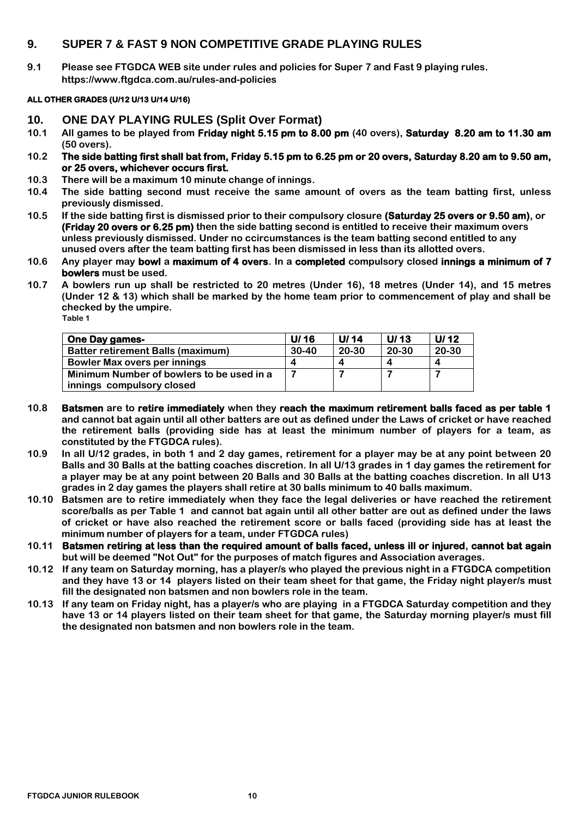### <span id="page-9-0"></span>**9. SUPER 7 & FAST 9 NON COMPETITIVE GRADE PLAYING RULES**

**9.1 Please see FTGDCA WEB site under rules and policies for Super 7 and Fast 9 playing rules. https://www.ftgdca.com.au/rules-and-policies**

#### **ALL OTHER GRADES (U/12 U/13 U/14 U/16)**

- <span id="page-9-1"></span>**10. ONE DAY PLAYING RULES (Split Over Format)**
- **10.1 All games to be played from Friday night 5.15 pm to 8.00 pm (40 overs), Saturday 8.20 am to 11.30 am (50 overs).**
- **10.2 The side batting first shall bat from, Friday 5.15 pm to 6.25 pm or 20 overs, Saturday 8.20 am to 9.50 am, or 25 overs, whichever occurs first.**
- **10.3 There will be a maximum 10 minute change of innings.**
- **10.4 The side batting second must receive the same amount of overs as the team batting first, unless previously dismissed.**
- **10.5 If the side batting first is dismissed prior to their compulsory closure (Saturday 25 overs or 9.50 am), or (Friday 20 overs or 6.25 pm) then the side batting second is entitled to receive their maximum overs unless previously dismissed. Under no ccircumstances is the team batting second entitled to any unused overs after the team batting first has been dismissed in less than its allotted overs.**
- **10.6 Any player may bowl a maximum of 4 overs. In a completed compulsory closed innings a minimum of 7 bowlers must be used.**
- **10.7 A bowlers run up shall be restricted to 20 metres (Under 16), 18 metres (Under 14), and 15 metres (Under 12 & 13) which shall be marked by the home team prior to commencement of play and shall be checked by the umpire. Table 1**

| <b>One Day games-</b>                     | U/16    | U/ $14$ | U/13  | U/ $12$ |
|-------------------------------------------|---------|---------|-------|---------|
| <b>Batter retirement Balls (maximum)</b>  | $30-40$ | 20-30   | 20-30 | 20-30   |
| Bowler Max overs per innings              |         | Δ       |       |         |
| Minimum Number of bowlers to be used in a |         |         |       |         |
| innings compulsory closed                 |         |         |       |         |

- **10.8 Batsmen are to retire immediately when they reach the maximum retirement balls faced as per table 1 and cannot bat again until all other batters are out as defined under the Laws of cricket or have reached the retirement balls (providing side has at least the minimum number of players for a team, as constituted by the FTGDCA rules).**
- **10.9 In all U/12 grades, in both 1 and 2 day games, retirement for a player may be at any point between 20 Balls and 30 Balls at the batting coaches discretion. In all U/13 grades in 1 day games the retirement for a player may be at any point between 20 Balls and 30 Balls at the batting coaches discretion. In all U13 grades in 2 day games the players shall retire at 30 balls minimum to 40 balls maximum.**
- **10.10 Batsmen are to retire immediately when they face the legal deliveries or have reached the retirement score/balls as per Table 1 and cannot bat again until all other batter are out as defined under the laws of cricket or have also reached the retirement score or balls faced (providing side has at least the minimum number of players for a team, under FTGDCA rules)**
- **10.11 Batsmen retiring at less than the required amount of balls faced, unless ill or injured, cannot bat again but will be deemed "Not Out" for the purposes of match figures and Association averages.**
- **10.12 If any team on Saturday morning, has a player/s who played the previous night in a FTGDCA competition and they have 13 or 14 players listed on their team sheet for that game, the Friday night player/s must fill the designated non batsmen and non bowlers role in the team.**
- **10.13 If any team on Friday night, has a player/s who are playing in a FTGDCA Saturday competition and they have 13 or 14 players listed on their team sheet for that game, the Saturday morning player/s must fill the designated non batsmen and non bowlers role in the team.**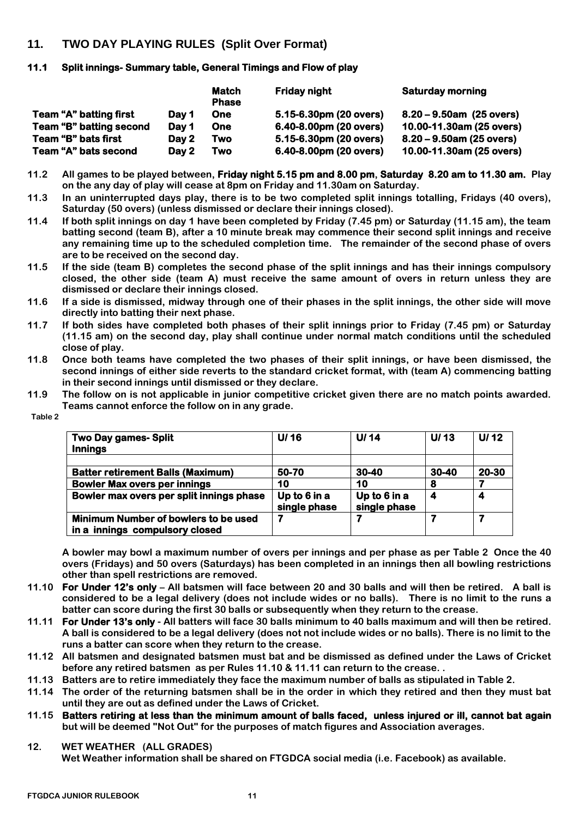### <span id="page-10-0"></span>**11. TWO DAY PLAYING RULES (Split Over Format)**

#### **11.1 Split innings- Summary table, General Timings and Flow of play**

|                         |       | <b>Match</b><br><b>Phase</b> | <b>Friday night</b>    | <b>Saturday morning</b>     |
|-------------------------|-------|------------------------------|------------------------|-----------------------------|
| Team "A" batting first  | Dav 1 | <b>One</b>                   | 5.15-6.30pm (20 overs) | $8.20 - 9.50$ am (25 overs) |
| Team "B" batting second | Dav 1 | <b>One</b>                   | 6.40-8.00pm (20 overs) | 10.00-11.30am (25 overs)    |
| Team "B" bats first     | Dav 2 | Two                          | 5.15-6.30pm (20 overs) | $8.20 - 9.50$ am (25 overs) |
| Team "A" bats second    | Day 2 | Two                          | 6.40-8.00pm (20 overs) | 10.00-11.30am (25 overs)    |

**11.2 All games to be played between, Friday night 5.15 pm and 8.00 pm, Saturday 8.20 am to 11.30 am. Play on the any day of play will cease at 8pm on Friday and 11.30am on Saturday.**

- **11.3 In an uninterrupted days play, there is to be two completed split innings totalling, Fridays (40 overs), Saturday (50 overs) (unless dismissed or declare their innings closed).**
- **11.4 If both split innings on day 1 have been completed by Friday (7.45 pm) or Saturday (11.15 am), the team batting second (team B), after a 10 minute break may commence their second split innings and receive any remaining time up to the scheduled completion time. The remainder of the second phase of overs are to be received on the second day.**
- **11.5 If the side (team B) completes the second phase of the split innings and has their innings compulsory closed, the other side (team A) must receive the same amount of overs in return unless they are dismissed or declare their innings closed.**
- **11.6 If a side is dismissed, midway through one of their phases in the split innings, the other side will move directly into batting their next phase.**
- **11.7 If both sides have completed both phases of their split innings prior to Friday (7.45 pm) or Saturday (11.15 am) on the second day, play shall continue under normal match conditions until the scheduled close of play.**
- **11.8 Once both teams have completed the two phases of their split innings, or have been dismissed, the second innings of either side reverts to the standard cricket format, with (team A) commencing batting in their second innings until dismissed or they declare.**
- **11.9 The follow on is not applicable in junior competitive cricket given there are no match points awarded. Teams cannot enforce the follow on in any grade.**

| <b>Two Day games-Split</b><br><b>Innings</b>                           | U/16                         | U/14                         | U/13  | U $/12$ |
|------------------------------------------------------------------------|------------------------------|------------------------------|-------|---------|
|                                                                        |                              |                              |       |         |
| <b>Batter retirement Balls (Maximum)</b>                               | 50-70                        | 30-40                        | 30-40 | 20-30   |
| <b>Bowler Max overs per innings</b>                                    | 10                           | 10                           | 8     |         |
| Bowler max overs per split innings phase                               | Up to 6 in a<br>single phase | Up to 6 in a<br>single phase |       |         |
| Minimum Number of bowlers to be used<br>in a innings compulsory closed |                              |                              |       | 7       |

 **Table 2**

**A bowler may bowl a maximum number of overs per innings and per phase as per Table 2 Once the 40 overs (Fridays) and 50 overs (Saturdays) has been completed in an innings then all bowling restrictions other than spell restrictions are removed.**

- **11.10 For Under 12's only – All batsmen will face between 20 and 30 balls and will then be retired. A ball is considered to be a legal delivery (does not include wides or no balls). There is no limit to the runs a batter can score during the first 30 balls or subsequently when they return to the crease.**
- **11.11 For Under 13's only - All batters will face 30 balls minimum to 40 balls maximum and will then be retired. A ball is considered to be a legal delivery (does not not include wides or no balls). There is no limit to the runs a batter can score when they return to the crease.**
- **11.12 All batsmen and designated batsmen must bat and be dismissed as defined under the Laws of Cricket before any retired batsmen as per Rules 11.10 & 11.11 can return to the crease. .**
- **11.13 Batters are to retire immediately they face the maximum number of balls as stipulated in Table 2.**
- **11.14 The order of the returning batsmen shall be in the order in which they retired and then they must bat until they are out as defined under the Laws of Cricket.**
- **11.15 Batters retiring at less than the minimum amount of balls faced, unless injured or ill, cannot bat again but will be deemed "Not Out" for the purposes of match figures and Association averages.**
- **12. WET WEATHER (ALL GRADES) Wet Weather information shall be shared on FTGDCA social media (i.e. Facebook) as available.**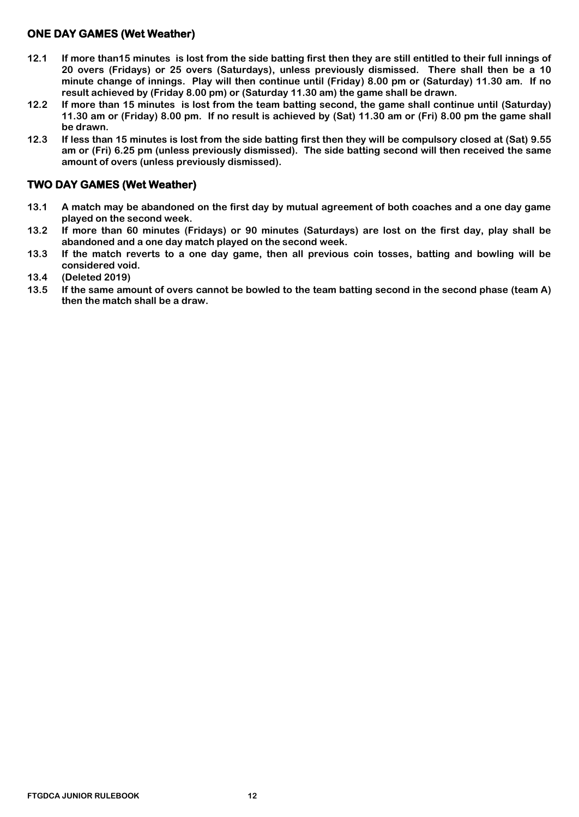# **ONE DAY GAMES (Wet Weather)**

- **12.1 If more than15 minutes is lost from the side batting first then they are still entitled to their full innings of 20 overs (Fridays) or 25 overs (Saturdays), unless previously dismissed. There shall then be a 10 minute change of innings. Play will then continue until (Friday) 8.00 pm or (Saturday) 11.30 am. If no result achieved by (Friday 8.00 pm) or (Saturday 11.30 am) the game shall be drawn.**
- **12.2 If more than 15 minutes is lost from the team batting second, the game shall continue until (Saturday) 11.30 am or (Friday) 8.00 pm. If no result is achieved by (Sat) 11.30 am or (Fri) 8.00 pm the game shall be drawn.**
- **12.3 If less than 15 minutes is lost from the side batting first then they will be compulsory closed at (Sat) 9.55 am or (Fri) 6.25 pm (unless previously dismissed). The side batting second will then received the same amount of overs (unless previously dismissed).**

### **TWO DAY GAMES (Wet Weather)**

- **13.1 A match may be abandoned on the first day by mutual agreement of both coaches and a one day game played on the second week.**
- **13.2 If more than 60 minutes (Fridays) or 90 minutes (Saturdays) are lost on the first day, play shall be abandoned and a one day match played on the second week.**
- **13.3 If the match reverts to a one day game, then all previous coin tosses, batting and bowling will be considered void.**
- **13.4 (Deleted 2019)**
- **13.5 If the same amount of overs cannot be bowled to the team batting second in the second phase (team A) then the match shall be a draw.**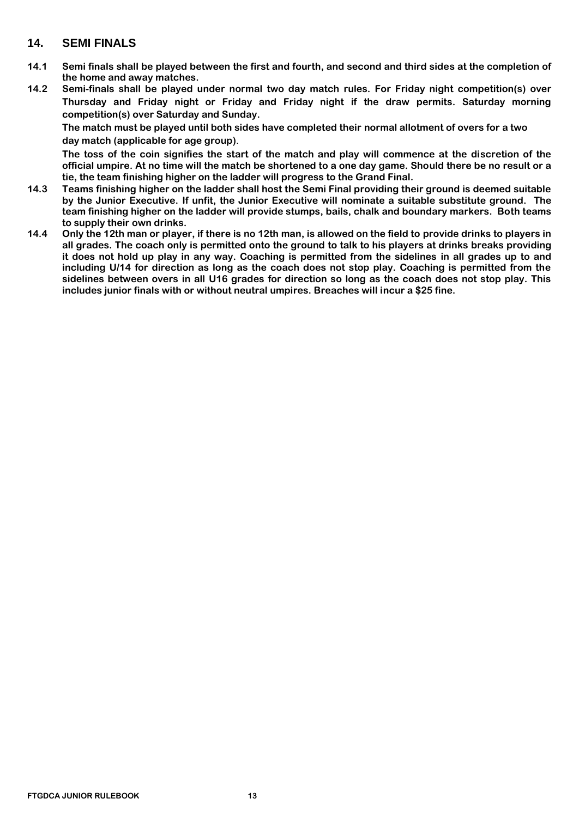### <span id="page-12-0"></span>**14. SEMI FINALS**

- **14.1 Semi finals shall be played between the first and fourth, and second and third sides at the completion of the home and away matches.**
- **14.2 Semi-finals shall be played under normal two day match rules. For Friday night competition(s) over Thursday and Friday night or Friday and Friday night if the draw permits. Saturday morning competition(s) over Saturday and Sunday.**

**The match must be played until both sides have completed their normal allotment of overs for a two day match (applicable for age group)**.

**The toss of the coin signifies the start of the match and play will commence at the discretion of the official umpire. At no time will the match be shortened to a one day game. Should there be no result or a tie, the team finishing higher on the ladder will progress to the Grand Final.**

- **14.3 Teams finishing higher on the ladder shall host the Semi Final providing their ground is deemed suitable by the Junior Executive. If unfit, the Junior Executive will nominate a suitable substitute ground. The team finishing higher on the ladder will provide stumps, bails, chalk and boundary markers. Both teams to supply their own drinks.**
- **14.4 Only the 12th man or player, if there is no 12th man, is allowed on the field to provide drinks to players in all grades. The coach only is permitted onto the ground to talk to his players at drinks breaks providing it does not hold up play in any way. Coaching is permitted from the sidelines in all grades up to and including U/14 for direction as long as the coach does not stop play. Coaching is permitted from the sidelines between overs in all U16 grades for direction so long as the coach does not stop play. This includes junior finals with or without neutral umpires. Breaches will incur a \$25 fine.**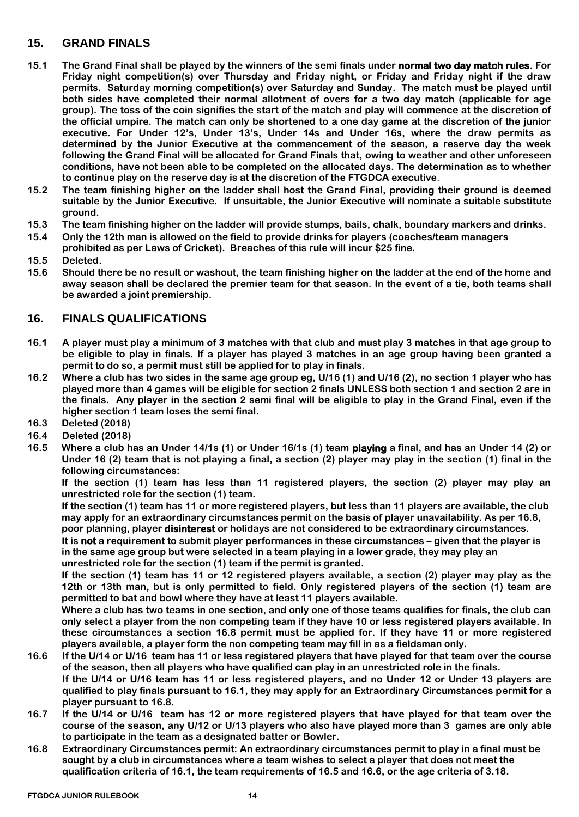## <span id="page-13-0"></span>**15. GRAND FINALS**

- **15.1 The Grand Final shall be played by the winners of the semi finals under normal two day match rules. For Friday night competition(s) over Thursday and Friday night, or Friday and Friday night if the draw permits. Saturday morning competition(s) over Saturday and Sunday. The match must be played until both sides have completed their normal allotment of overs for a two day match (applicable for age group). The toss of the coin signifies the start of the match and play will commence at the discretion of the official umpire. The match can only be shortened to a one day game at the discretion of the junior executive. For Under 12's, Under 13's, Under 14s and Under 16s, where the draw permits as determined by the Junior Executive at the commencement of the season, a reserve day the week following the Grand Final will be allocated for Grand Finals that, owing to weather and other unforeseen conditions, have not been able to be completed on the allocated days. The determination as to whether to continue play on the reserve day is at the discretion of the FTGDCA executive**.
- **15.2 The team finishing higher on the ladder shall host the Grand Final, providing their ground is deemed suitable by the Junior Executive. If unsuitable, the Junior Executive will nominate a suitable substitute ground.**
- **15.3 The team finishing higher on the ladder will provide stumps, bails, chalk, boundary markers and drinks.**
- **15.4 Only the 12th man is allowed on the field to provide drinks for players (coaches/team managers prohibited as per Laws of Cricket). Breaches of this rule will incur \$25 fine.**
- **15.5 Deleted.**
- **15.6 Should there be no result or washout, the team finishing higher on the ladder at the end of the home and away season shall be declared the premier team for that season. In the event of a tie, both teams shall be awarded a joint premiership.**

### <span id="page-13-1"></span>**16. FINALS QUALIFICATIONS**

- **16.1 A player must play a minimum of 3 matches with that club and must play 3 matches in that age group to be eligible to play in finals. If a player has played 3 matches in an age group having been granted a permit to do so, a permit must still be applied for to play in finals.**
- **16.2 Where a club has two sides in the same age group eg, U/16 (1) and U/16 (2), no section 1 player who has played more than 4 games will be eligible for section 2 finals UNLESS both section 1 and section 2 are in the finals. Any player in the section 2 semi final will be eligible to play in the Grand Final, even if the higher section 1 team loses the semi final.**
- **16.3 Deleted (2018)**
- **16.4 Deleted (2018)**
- **16.5 Where a club has an Under 14/1s (1) or Under 16/1s (1) team playing a final, and has an Under 14 (2) or Under 16 (2) team that is not playing a final, a section (2) player may play in the section (1) final in the following circumstances:**

**If the section (1) team has less than 11 registered players, the section (2) player may play an unrestricted role for the section (1) team.**

**If the section (1) team has 11 or more registered players, but less than 11 players are available, the club may apply for an extraordinary circumstances permit on the basis of player unavailability. As per 16.8, poor planning, player disinterest or holidays are not considered to be extraordinary circumstances.**

**It is not a requirement to submit player performances in these circumstances – given that the player is in the same age group but were selected in a team playing in a lower grade, they may play an unrestricted role for the section (1) team if the permit is granted.**

**If the section (1) team has 11 or 12 registered players available, a section (2) player may play as the 12th or 13th man, but is only permitted to field. Only registered players of the section (1) team are permitted to bat and bowl where they have at least 11 players available.**

**Where a club has two teams in one section, and only one of those teams qualifies for finals, the club can only select a player from the non competing team if they have 10 or less registered players available. In these circumstances a section 16.8 permit must be applied for. If they have 11 or more registered players available, a player form the non competing team may fill in as a fieldsman only.**

- **16.6 If the U/14 or U/16 team has 11 or less registered players that have played for that team over the course of the season, then all players who have qualified can play in an unrestricted role in the finals. If the U/14 or U/16 team has 11 or less registered players, and no Under 12 or Under 13 players are qualified to play finals pursuant to 16.1, they may apply for an Extraordinary Circumstances permit for a player pursuant to 16.8.**
- **16.7 If the U/14 or U/16 team has 12 or more registered players that have played for that team over the course of the season, any U/12 or U/13 players who also have played more than 3 games are only able to participate in the team as a designated batter or Bowler.**
- **16.8 Extraordinary Circumstances permit: An extraordinary circumstances permit to play in a final must be sought by a club in circumstances where a team wishes to select a player that does not meet the qualification criteria of 16.1, the team requirements of 16.5 and 16.6, or the age criteria of 3.18.**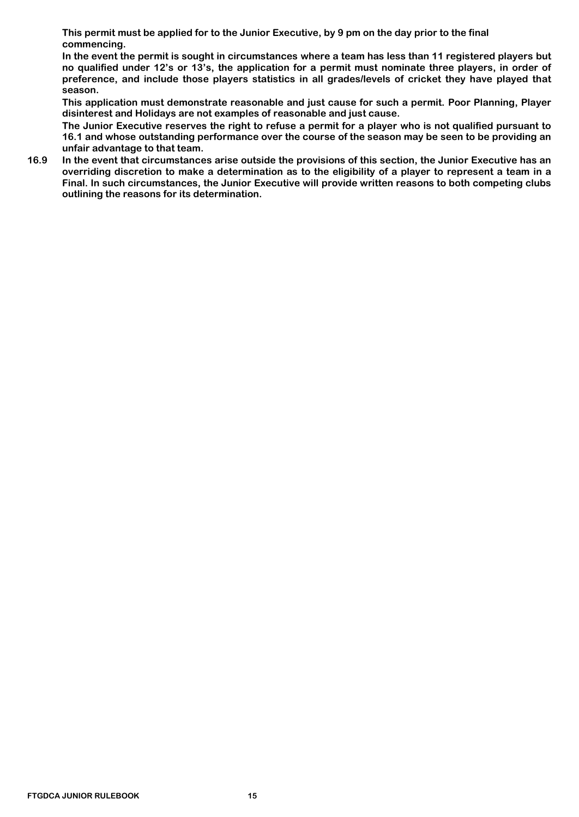**This permit must be applied for to the Junior Executive, by 9 pm on the day prior to the final commencing.** 

**In the event the permit is sought in circumstances where a team has less than 11 registered players but no qualified under 12's or 13's, the application for a permit must nominate three players, in order of preference, and include those players statistics in all grades/levels of cricket they have played that season.**

**This application must demonstrate reasonable and just cause for such a permit. Poor Planning, Player disinterest and Holidays are not examples of reasonable and just cause.**

**The Junior Executive reserves the right to refuse a permit for a player who is not qualified pursuant to 16.1 and whose outstanding performance over the course of the season may be seen to be providing an unfair advantage to that team.**

**16.9 In the event that circumstances arise outside the provisions of this section, the Junior Executive has an overriding discretion to make a determination as to the eligibility of a player to represent a team in a Final. In such circumstances, the Junior Executive will provide written reasons to both competing clubs outlining the reasons for its determination.**